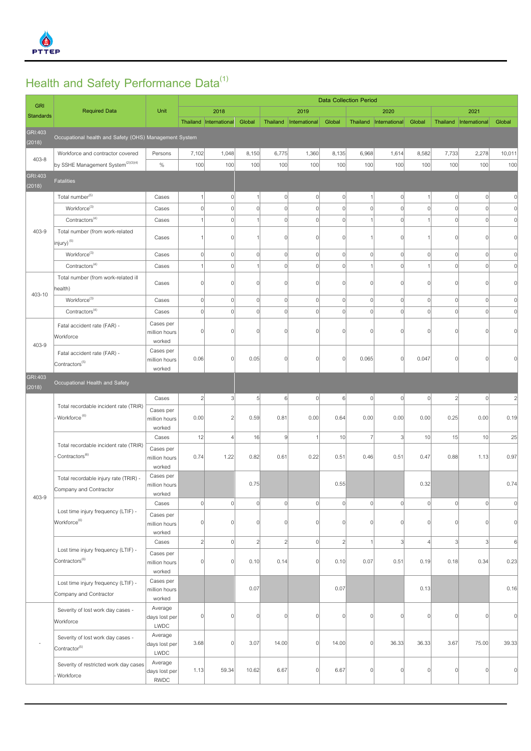

## **Health and Safety Performance Data(1)**

| <b>GRI</b>        |                                                                     |                                         | <b>Data Collection Period</b> |                        |                |                |                          |                |                |                          |             |                 |                        |                |
|-------------------|---------------------------------------------------------------------|-----------------------------------------|-------------------------------|------------------------|----------------|----------------|--------------------------|----------------|----------------|--------------------------|-------------|-----------------|------------------------|----------------|
| <b>Standards</b>  | <b>Required Data</b>                                                | Unit                                    |                               | 2018                   |                |                | 2019                     |                |                | 2020                     |             |                 | 2021                   |                |
|                   |                                                                     |                                         |                               | Thailand International | Global         |                | Thailand   International | Global         |                | Thailand   International | Global      |                 | Thailand International | Global         |
| GRI:403<br>(2018) | Occupational health and Safety (OHS) Management System              |                                         |                               |                        |                |                |                          |                |                |                          |             |                 |                        |                |
|                   | Workforce and contractor covered                                    | Persons                                 | 7,102                         | 1,048                  | 8,150          | 6,775          | 1,360                    | 8,135          | 6,968          | 1,614                    | 8,582       | 7,733           | 2,278                  | 10,011         |
| 403-8             | by SSHE Management System <sup>(2)(3)(4)</sup>                      | $\%$                                    | 100                           | 100                    | 100            | 100            | 100                      | 100            | 100            | 100                      | 100         | 100             | 100                    | 100            |
| GRI:403<br>(2018) | <b>Fatalities</b>                                                   |                                         |                               |                        |                |                |                          |                |                |                          |             |                 |                        |                |
| 403-9             | Total number <sup>(5)</sup>                                         | Cases                                   |                               | $\mathbf{0}$           |                | $\overline{0}$ | $\mathbf 0$              | $\overline{0}$ | $\mathbf{1}$   | $\mathbf 0$              |             | $\mathbf 0$     | $\circ$                | 0              |
|                   | Workforce <sup>(3)</sup>                                            | Cases                                   | $\vert$                       | $\overline{0}$         | $\Omega$       | $\overline{0}$ | $\overline{0}$           | $\overline{0}$ | $\mathbb O$    | $\circ$                  | $\Omega$    | $\vert$         | $\circ$                | $\circ$        |
|                   | Contractors <sup>(4)</sup>                                          | Cases                                   | $\overline{1}$                | $\mathbf{0}$           |                | $\overline{0}$ | $\overline{0}$           | $\overline{0}$ | $\mathbf{1}$   | $\Omega$                 |             | $\vert$         | $\circ$                | $\mathbf 0$    |
|                   | Total number (from work-related<br>injury) <sup>(5)</sup>           | Cases                                   | 1                             | $\Omega$               |                | 0              | $\overline{0}$           | $\Omega$       | $\mathbf{1}$   | $\Omega$                 |             | $\overline{0}$  | $\Omega$               | $\mathbf 0$    |
|                   | $\mathsf{Workforce}^{(3)}$                                          | Cases                                   | $\vert$                       | $\mathbf{0}$           | 0              | 0              | $\mathbf 0$              | $\overline{0}$ | $\mathbf 0$    | $\mathbf 0$              | $\mathbf 0$ | $\overline{0}$  | 0                      | $\mathbf 0$    |
|                   | Contractors <sup>(4)</sup>                                          | Cases                                   | 1                             | $\mathbf{0}$           |                | $\overline{0}$ | $\overline{0}$           | $\overline{0}$ | $\mathbf{1}$   | $\mathbf 0$              |             | $\vert$         | $\circ$                | $\circ$        |
|                   | Total number (from work-related ill<br>health)                      | Cases                                   | $\vert$                       | n                      | n              | $\overline{0}$ | $\overline{0}$           | $\overline{0}$ | $\mathbf 0$    | $\Omega$                 | n           | $\vert$         | $\overline{0}$         | $\mathbf 0$    |
| 403-10            | $Workforce^{(3)}$                                                   | Cases                                   | 0                             | $\mathbf{0}$           | $\overline{0}$ | 0              | $\overline{0}$           | $\overline{0}$ | $\mathbb O$    | $\mathbf 0$              | $\Omega$    | $\vert 0 \vert$ | $\overline{0}$         | $\circ$        |
|                   | $\text{Contractors}^{(4)}$                                          | Cases                                   | $\vert$                       | $\Omega$               | $\Omega$       | $\overline{0}$ | $\mathbf 0$              | $\overline{0}$ | $\overline{0}$ | $\Omega$                 | $\cap$      | $\mathbf 0$     | $\overline{0}$         | $\mathbf 0$    |
| 403-9             | Fatal accident rate (FAR) -<br>Workforce                            | Cases per<br>million hours              | $\mathbf 0$                   | n                      | ſ              | $\Omega$       | $\overline{0}$           | $\Omega$       | $\Omega$       | $\Omega$                 |             | $\mathbf{0}$    | $\mathbf{0}$           | $\Omega$       |
|                   | Fatal accident rate (FAR) -                                         | worked<br>Cases per<br>million hours    | 0.06                          | 0                      | 0.05           | $\overline{0}$ | $\mathbf 0$              | $\Omega$       | 0.065          | $\overline{0}$           | 0.047       | $\vert$         | $\circ$                | $\Omega$       |
|                   | Contractors <sup>(5)</sup>                                          | worked                                  |                               |                        |                |                |                          |                |                |                          |             |                 |                        |                |
| GRI:403<br>(2018) | Occupational Health and Safety                                      |                                         |                               |                        |                |                |                          |                |                |                          |             |                 |                        |                |
|                   | Total recordable incident rate (TRIR)<br>Workforce <sup>(6)</sup>   | Cases                                   | $\overline{2}$                | 3                      | 5              | 6              | $\mathbf 0$              | 6              | $\mathbf 0$    | $\mathbf 0$              | $\mathbf 0$ | $\sqrt{2}$      | $\circ$                | $\overline{c}$ |
|                   |                                                                     | Cases per<br>million hours<br>worked    | 0.00                          | $\overline{2}$         | 0.59           | 0.81           | 0.00                     | 0.64           | 0.00           | 0.00                     | 0.00        | 0.25            | 0.00                   | 0.19           |
|                   | Total recordable incident rate (TRIR)<br>Contractors <sup>(6)</sup> | Cases                                   | 12                            | $\overline{4}$         | 16             | $\vert$        |                          | 10             | $\overline{7}$ | 3                        | 10          | 15              | 10                     | 25             |
| 403-9             |                                                                     | Cases per<br>million hours              | 0.74                          | 1.22                   | 0.82           | 0.61           | 0.22                     | 0.51           | 0.46           | 0.51                     | 0.47        | 0.88            | 1.13                   | 0.97           |
|                   | Total recordable injury rate (TRIR) -<br>Company and Contractor     | worked<br>Cases per<br>million hours    |                               |                        | 0.75           |                |                          | 0.55           |                |                          | 0.32        |                 |                        | 0.74           |
|                   |                                                                     | worked<br>Cases                         | 0                             | $\Omega$               | $\mathbf 0$    | $\overline{0}$ | $\mathbf 0$              | $\Omega$       | $\mathbf 0$    | $\overline{0}$           | $\mathbf 0$ | $\vert$         | $\overline{0}$         | $\mathbf 0$    |
|                   | Lost time injury frequency (LTIF) -<br>Workforce <sup>(6)</sup>     | Cases per<br>million hours              | $\vert$                       | n                      |                | $\overline{0}$ | $\mathbf 0$              | $\Omega$       | $\mathbf 0$    | $\sqrt{ }$               |             | $\Omega$        | $\overline{0}$         | $\mathbf 0$    |
|                   |                                                                     | worked                                  |                               |                        |                |                |                          |                |                |                          |             |                 |                        |                |
|                   | Lost time injury frequency (LTIF) -<br>Contractors <sup>(6)</sup>   | Cases                                   | $\overline{2}$                | $\Omega$               | $\overline{2}$ | $\overline{2}$ | $\overline{0}$           | $\overline{2}$ | $\mathbf{1}$   | $\overline{3}$           |             | $\overline{3}$  | $\overline{3}$         | 6              |
|                   |                                                                     | Cases per<br>million hours<br>worked    | $\vert$                       | U                      | 0.10           | 0.14           | $\overline{0}$           | 0.10           | 0.07           | 0.51                     | 0.19        | 0.18            | 0.34                   | 0.23           |
|                   | Lost time injury frequency (LTIF) -<br>Company and Contractor       | Cases per<br>million hours<br>worked    |                               |                        | 0.07           |                |                          | 0.07           |                |                          | 0.13        |                 |                        | 0.16           |
|                   | Severity of lost work day cases -<br>Workforce                      | Average<br>days lost per<br>LWDC        | $\vert$                       | $\Omega$               | ſ              | 0              | $\mathbf 0$              | $\Omega$       | $\mathbf 0$    | $\Omega$                 | $\cap$      | $\vert$         | $\Omega$               | $\mathbf 0$    |
|                   | Severity of lost work day cases -<br>Contractor <sup>(5)</sup>      | Average<br>days lost per<br>LWDC        | 3.68                          | $\Omega$               | 3.07           | 14.00          | $\overline{0}$           | 14.00          | $\mathbf 0$    | 36.33                    | 36.33       | 3.67            | 75.00                  | 39.33          |
|                   | Severity of restricted work day cases<br>Workforce                  | Average<br>days lost per<br><b>RWDC</b> | 1.13                          | 59.34                  | 10.62          | 6.67           | $\overline{0}$           | 6.67           | $\mathbf 0$    | $\Omega$                 | $\cap$      | $\vert$         | $\overline{0}$         | $\Omega$       |